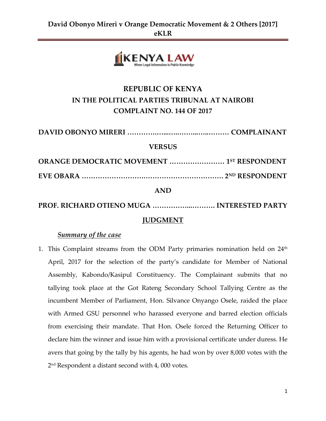

# **REPUBLIC OF KENYA IN THE POLITICAL PARTIES TRIBUNAL AT NAIROBI COMPLAINT NO. 144 OF 2017**

**DAVID OBONYO MIRERI ………….…...…..……...…..……… COMPLAINANT VERSUS**

**ORANGE DEMOCRATIC MOVEMENT …………………… 1ST RESPONDENT EVE OBARA ……………………….……………………………. 2ND RESPONDENT**

**AND**

**PROF. RICHARD OTIENO MUGA ……………...………. INTERESTED PARTY**

### **JUDGMENT**

#### *Summary of the case*

1. This Complaint streams from the ODM Party primaries nomination held on 24<sup>th</sup> April, 2017 for the selection of the party's candidate for Member of National Assembly, Kabondo/Kasipul Constituency. The Complainant submits that no tallying took place at the Got Rateng Secondary School Tallying Centre as the incumbent Member of Parliament, Hon. Silvance Onyango Osele, raided the place with Armed GSU personnel who harassed everyone and barred election officials from exercising their mandate. That Hon. Osele forced the Returning Officer to declare him the winner and issue him with a provisional certificate under duress. He avers that going by the tally by his agents, he had won by over 8,000 votes with the 2 nd Respondent a distant second with 4, 000 votes.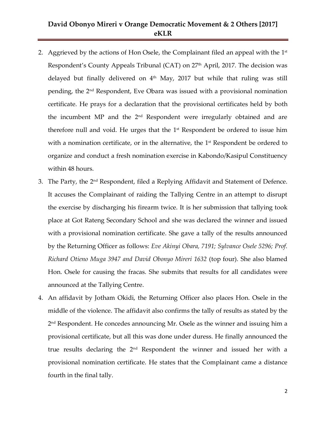- 2.  $\,$  Aggrieved by the actions of Hon Osele, the Complainant filed an appeal with the 1st  $\,$ Respondent's County Appeals Tribunal (CAT) on 27<sup>th</sup> April, 2017. The decision was delayed but finally delivered on  $4<sup>th</sup>$  May, 2017 but while that ruling was still pending, the 2nd Respondent, Eve Obara was issued with a provisional nomination certificate. He prays for a declaration that the provisional certificates held by both the incumbent MP and the 2nd Respondent were irregularly obtained and are therefore null and void. He urges that the  $1<sup>st</sup>$  Respondent be ordered to issue him with a nomination certificate, or in the alternative, the  $1<sup>st</sup>$  Respondent be ordered to organize and conduct a fresh nomination exercise in Kabondo/Kasipul Constituency within 48 hours.
- 3. The Party, the 2<sup>nd</sup> Respondent, filed a Replying Affidavit and Statement of Defence. It accuses the Complainant of raiding the Tallying Centre in an attempt to disrupt the exercise by discharging his firearm twice. It is her submission that tallying took place at Got Rateng Secondary School and she was declared the winner and issued with a provisional nomination certificate. She gave a tally of the results announced by the Returning Officer as follows: *Eve Akinyi Obara, 7191; Sylvance Osele 5296; Prof. Richard Otieno Muga 3947 and David Obonyo Mireri 1632* (top four). She also blamed Hon. Osele for causing the fracas. She submits that results for all candidates were announced at the Tallying Centre.
- 4. An affidavit by Jotham Okidi, the Returning Officer also places Hon. Osele in the middle of the violence. The affidavit also confirms the tally of results as stated by the 2 nd Respondent. He concedes announcing Mr. Osele as the winner and issuing him a provisional certificate, but all this was done under duress. He finally announced the true results declaring the  $2<sup>nd</sup>$  Respondent the winner and issued her with a provisional nomination certificate. He states that the Complainant came a distance fourth in the final tally.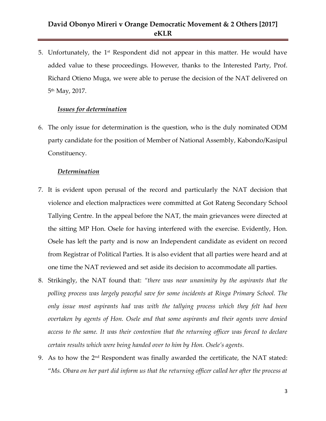5. Unfortunately, the  $1<sup>st</sup>$  Respondent did not appear in this matter. He would have added value to these proceedings. However, thanks to the Interested Party, Prof. Richard Otieno Muga, we were able to peruse the decision of the NAT delivered on 5th May, 2017.

#### *Issues for determination*

6. The only issue for determination is the question, who is the duly nominated ODM party candidate for the position of Member of National Assembly, Kabondo/Kasipul Constituency.

#### *Determination*

- 7. It is evident upon perusal of the record and particularly the NAT decision that violence and election malpractices were committed at Got Rateng Secondary School Tallying Centre. In the appeal before the NAT, the main grievances were directed at the sitting MP Hon. Osele for having interfered with the exercise. Evidently, Hon. Osele has left the party and is now an Independent candidate as evident on record from Registrar of Political Parties. It is also evident that all parties were heard and at one time the NAT reviewed and set aside its decision to accommodate all parties.
- 8. Strikingly, the NAT found that: *"there was near unanimity by the aspirants that the polling process was largely peaceful save for some incidents at Ringa Primary School. The only issue most aspirants had was with the tallying process which they felt had been overtaken by agents of Hon. Osele and that some aspirants and their agents were denied access to the same. It was their contention that the returning officer was forced to declare certain results which were being handed over to him by Hon. Osele's agents*.
- 9. As to how the  $2<sup>nd</sup>$  Respondent was finally awarded the certificate, the NAT stated: "*Ms. Obara on her part did inform us that the returning officer called her after the process at*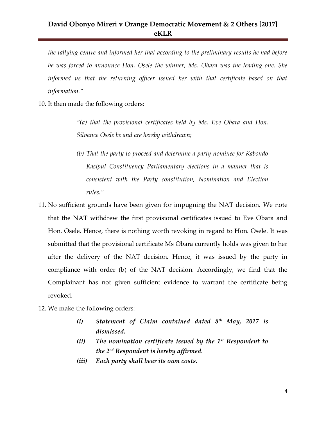*the tallying centre and informed her that according to the preliminary results he had before he was forced to announce Hon. Osele the winner, Ms. Obara was the leading one. She informed us that the returning officer issued her with that certificate based on that information."*

10. It then made the following orders:

*"(a) that the provisional certificates held by Ms. Eve Obara and Hon. Silvance Osele be and are hereby withdrawn;*

- *(b) That the party to proceed and determine a party nominee for Kabondo Kasipul Constituency Parliamentary elections in a manner that is consistent with the Party constitution, Nomination and Election rules."*
- 11. No sufficient grounds have been given for impugning the NAT decision. We note that the NAT withdrew the first provisional certificates issued to Eve Obara and Hon. Osele. Hence, there is nothing worth revoking in regard to Hon. Osele. It was submitted that the provisional certificate Ms Obara currently holds was given to her after the delivery of the NAT decision. Hence, it was issued by the party in compliance with order (b) of the NAT decision. Accordingly, we find that the Complainant has not given sufficient evidence to warrant the certificate being revoked.
- 12. We make the following orders:
	- *(i) Statement of Claim contained dated 8th May, 2017 is dismissed.*
	- *(ii) The nomination certificate issued by the 1st Respondent to the 2nd Respondent is hereby affirmed.*
	- *(iii) Each party shall bear its own costs.*